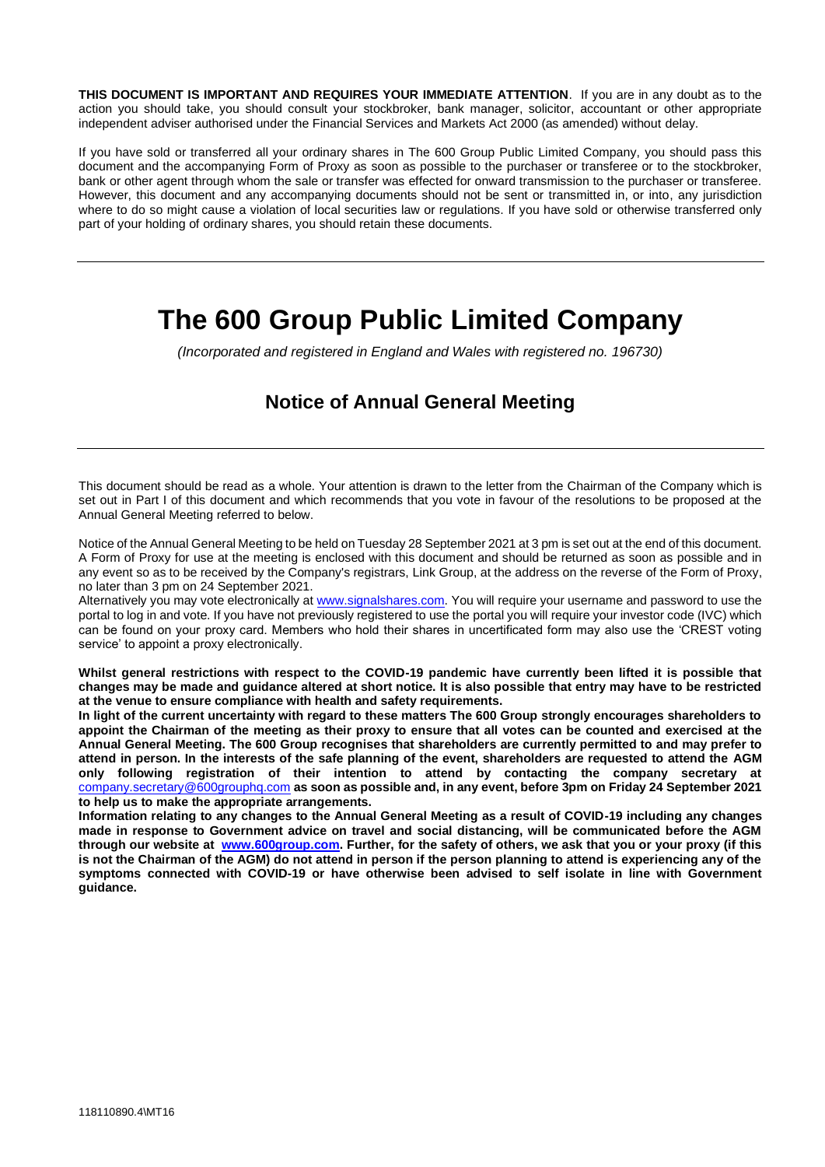**THIS DOCUMENT IS IMPORTANT AND REQUIRES YOUR IMMEDIATE ATTENTION**. If you are in any doubt as to the action you should take, you should consult your stockbroker, bank manager, solicitor, accountant or other appropriate independent adviser authorised under the Financial Services and Markets Act 2000 (as amended) without delay.

If you have sold or transferred all your ordinary shares in The 600 Group Public Limited Company, you should pass this document and the accompanying Form of Proxy as soon as possible to the purchaser or transferee or to the stockbroker, bank or other agent through whom the sale or transfer was effected for onward transmission to the purchaser or transferee. However, this document and any accompanying documents should not be sent or transmitted in, or into, any jurisdiction where to do so might cause a violation of local securities law or regulations. If you have sold or otherwise transferred only part of your holding of ordinary shares, you should retain these documents.

# **The 600 Group Public Limited Company**

*(Incorporated and registered in England and Wales with registered no. 196730)*

## **Notice of Annual General Meeting**

This document should be read as a whole. Your attention is drawn to the letter from the Chairman of the Company which is set out in Part I of this document and which recommends that you vote in favour of the resolutions to be proposed at the Annual General Meeting referred to below.

Notice of the Annual General Meeting to be held on Tuesday 28 September 2021 at 3 pm is set out at the end of this document. A Form of Proxy for use at the meeting is enclosed with this document and should be returned as soon as possible and in any event so as to be received by the Company's registrars, Link Group, at the address on the reverse of the Form of Proxy, no later than 3 pm on 24 September 2021.

Alternatively you may vote electronically a[t www.signalshares.com.](http://www.signalshares.com/) You will require your username and password to use the portal to log in and vote. If you have not previously registered to use the portal you will require your investor code (IVC) which can be found on your proxy card. Members who hold their shares in uncertificated form may also use the 'CREST voting service' to appoint a proxy electronically.

**Whilst general restrictions with respect to the COVID-19 pandemic have currently been lifted it is possible that changes may be made and guidance altered at short notice. It is also possible that entry may have to be restricted at the venue to ensure compliance with health and safety requirements.**

**In light of the current uncertainty with regard to these matters The 600 Group strongly encourages shareholders to appoint the Chairman of the meeting as their proxy to ensure that all votes can be counted and exercised at the Annual General Meeting. The 600 Group recognises that shareholders are currently permitted to and may prefer to attend in person. In the interests of the safe planning of the event, shareholders are requested to attend the AGM only following registration of their intention to attend by contacting the company secretary at**  company.secretary@600grouphq.com **as soon as possible and, in any event, before 3pm on Friday 24 September 2021 to help us to make the appropriate arrangements.**

**Information relating to any changes to the Annual General Meeting as a result of COVID-19 including any changes made in response to Government advice on travel and social distancing, will be communicated before the AGM through our website at [www.600group.com.](http://www.600group.com/) Further, for the safety of others, we ask that you or your proxy (if this is not the Chairman of the AGM) do not attend in person if the person planning to attend is experiencing any of the symptoms connected with COVID-19 or have otherwise been advised to self isolate in line with Government guidance.**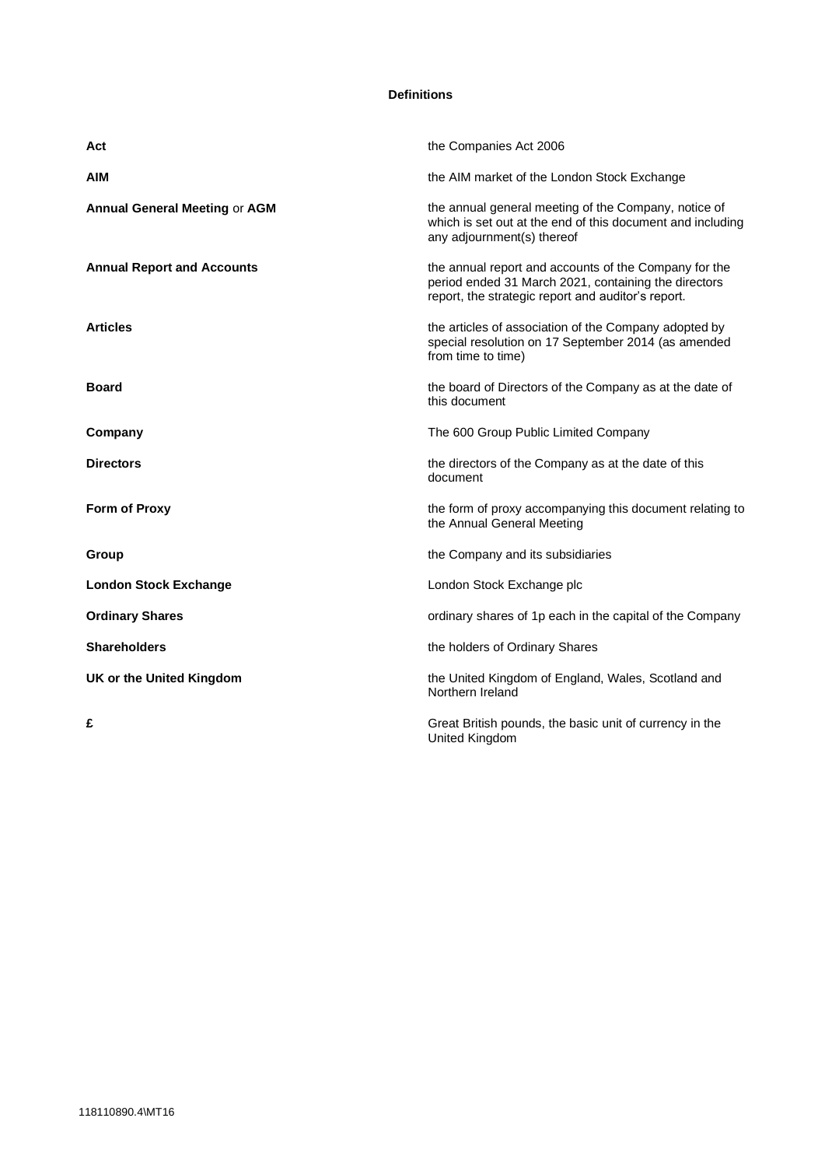#### **Definitions**

| Act                                  | the Companies Act 2006                                                                                                                                              |
|--------------------------------------|---------------------------------------------------------------------------------------------------------------------------------------------------------------------|
| AIM                                  | the AIM market of the London Stock Exchange                                                                                                                         |
| <b>Annual General Meeting or AGM</b> | the annual general meeting of the Company, notice of<br>which is set out at the end of this document and including<br>any adjournment(s) thereof                    |
| <b>Annual Report and Accounts</b>    | the annual report and accounts of the Company for the<br>period ended 31 March 2021, containing the directors<br>report, the strategic report and auditor's report. |
| <b>Articles</b>                      | the articles of association of the Company adopted by<br>special resolution on 17 September 2014 (as amended<br>from time to time)                                  |
| <b>Board</b>                         | the board of Directors of the Company as at the date of<br>this document                                                                                            |
| Company                              | The 600 Group Public Limited Company                                                                                                                                |
| <b>Directors</b>                     | the directors of the Company as at the date of this<br>document                                                                                                     |
| <b>Form of Proxy</b>                 | the form of proxy accompanying this document relating to<br>the Annual General Meeting                                                                              |
| Group                                | the Company and its subsidiaries                                                                                                                                    |
| <b>London Stock Exchange</b>         | London Stock Exchange plc                                                                                                                                           |
| <b>Ordinary Shares</b>               | ordinary shares of 1p each in the capital of the Company                                                                                                            |
| <b>Shareholders</b>                  | the holders of Ordinary Shares                                                                                                                                      |
| UK or the United Kingdom             | the United Kingdom of England, Wales, Scotland and<br>Northern Ireland                                                                                              |
| £                                    | Great British pounds, the basic unit of currency in the<br>United Kingdom                                                                                           |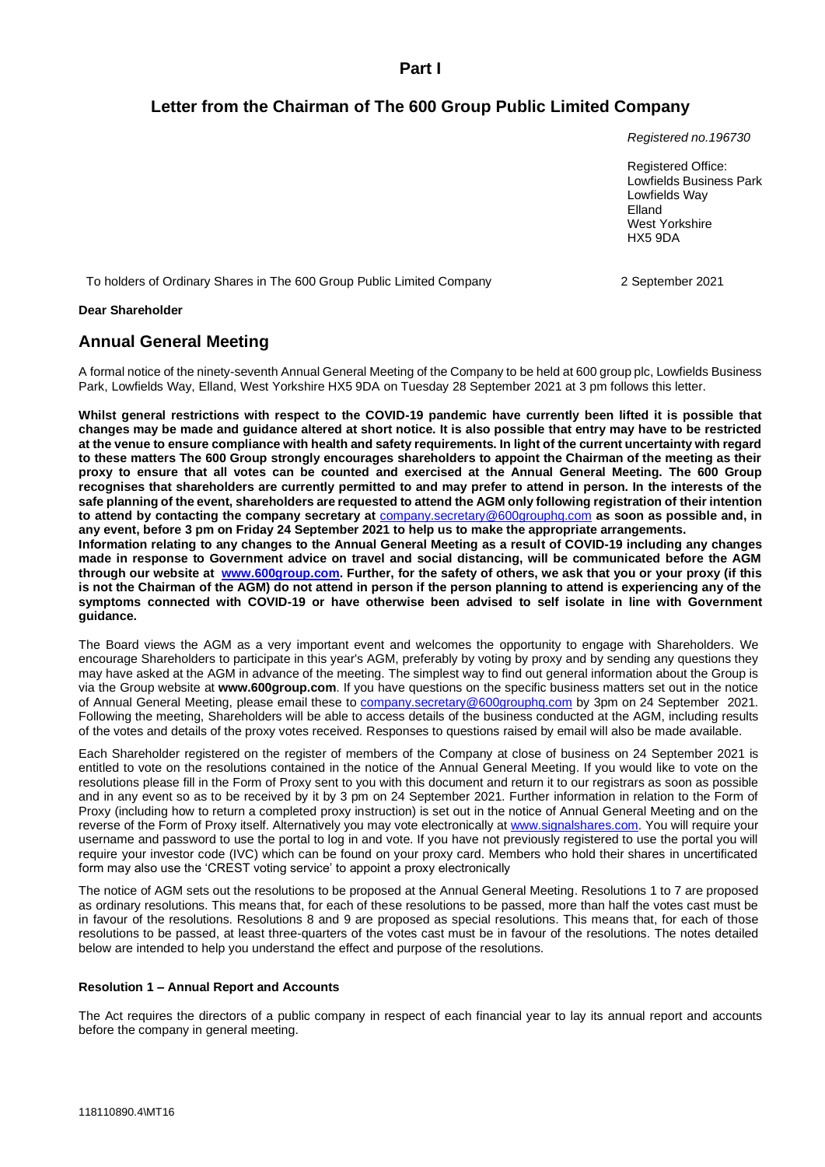**Part I**

## **Letter from the Chairman of The 600 Group Public Limited Company**

*Registered no.196730*

Registered Office: Lowfields Business Park Lowfields Way Elland West Yorkshire HX5 9DA

To holders of Ordinary Shares in The 600 Group Public Limited Company 2 2 September 2021

**Dear Shareholder**

### **Annual General Meeting**

A formal notice of the ninety-seventh Annual General Meeting of the Company to be held at 600 group plc, Lowfields Business Park, Lowfields Way, Elland, West Yorkshire HX5 9DA on Tuesday 28 September 2021 at 3 pm follows this letter.

**Whilst general restrictions with respect to the COVID-19 pandemic have currently been lifted it is possible that changes may be made and guidance altered at short notice. It is also possible that entry may have to be restricted at the venue to ensure compliance with health and safety requirements. In light of the current uncertainty with regard to these matters The 600 Group strongly encourages shareholders to appoint the Chairman of the meeting as their proxy to ensure that all votes can be counted and exercised at the Annual General Meeting. The 600 Group recognises that shareholders are currently permitted to and may prefer to attend in person. In the interests of the safe planning of the event, shareholders are requested to attend the AGM only following registration of their intention to attend by contacting the company secretary at** company.secretary@600grouphq.com **as soon as possible and, in any event, before 3 pm on Friday 24 September 2021 to help us to make the appropriate arrangements. Information relating to any changes to the Annual General Meeting as a result of COVID-19 including any changes made in response to Government advice on travel and social distancing, will be communicated before the AGM through our website at [www.600group.com.](http://www.600group.com/) Further, for the safety of others, we ask that you or your proxy (if this is not the Chairman of the AGM) do not attend in person if the person planning to attend is experiencing any of the symptoms connected with COVID-19 or have otherwise been advised to self isolate in line with Government guidance.**

The Board views the AGM as a very important event and welcomes the opportunity to engage with Shareholders. We encourage Shareholders to participate in this year's AGM, preferably by voting by proxy and by sending any questions they may have asked at the AGM in advance of the meeting. The simplest way to find out general information about the Group is via the Group website at **www.600group.com**. If you have questions on the specific business matters set out in the notice of Annual General Meeting, please email these to company.secretary@600grouphq.com by 3pm on 24 September 2021. Following the meeting, Shareholders will be able to access details of the business conducted at the AGM, including results of the votes and details of the proxy votes received. Responses to questions raised by email will also be made available.

Each Shareholder registered on the register of members of the Company at close of business on 24 September 2021 is entitled to vote on the resolutions contained in the notice of the Annual General Meeting. If you would like to vote on the resolutions please fill in the Form of Proxy sent to you with this document and return it to our registrars as soon as possible and in any event so as to be received by it by 3 pm on 24 September 2021. Further information in relation to the Form of Proxy (including how to return a completed proxy instruction) is set out in the notice of Annual General Meeting and on the reverse of the Form of Proxy itself. Alternatively you may vote electronically a[t www.signalshares.com.](http://www.signalshares.com/) You will require your username and password to use the portal to log in and vote. If you have not previously registered to use the portal you will require your investor code (IVC) which can be found on your proxy card. Members who hold their shares in uncertificated form may also use the 'CREST voting service' to appoint a proxy electronically

The notice of AGM sets out the resolutions to be proposed at the Annual General Meeting. Resolutions 1 to 7 are proposed as ordinary resolutions. This means that, for each of these resolutions to be passed, more than half the votes cast must be in favour of the resolutions. Resolutions 8 and 9 are proposed as special resolutions. This means that, for each of those resolutions to be passed, at least three-quarters of the votes cast must be in favour of the resolutions. The notes detailed below are intended to help you understand the effect and purpose of the resolutions.

#### **Resolution 1 – Annual Report and Accounts**

The Act requires the directors of a public company in respect of each financial year to lay its annual report and accounts before the company in general meeting.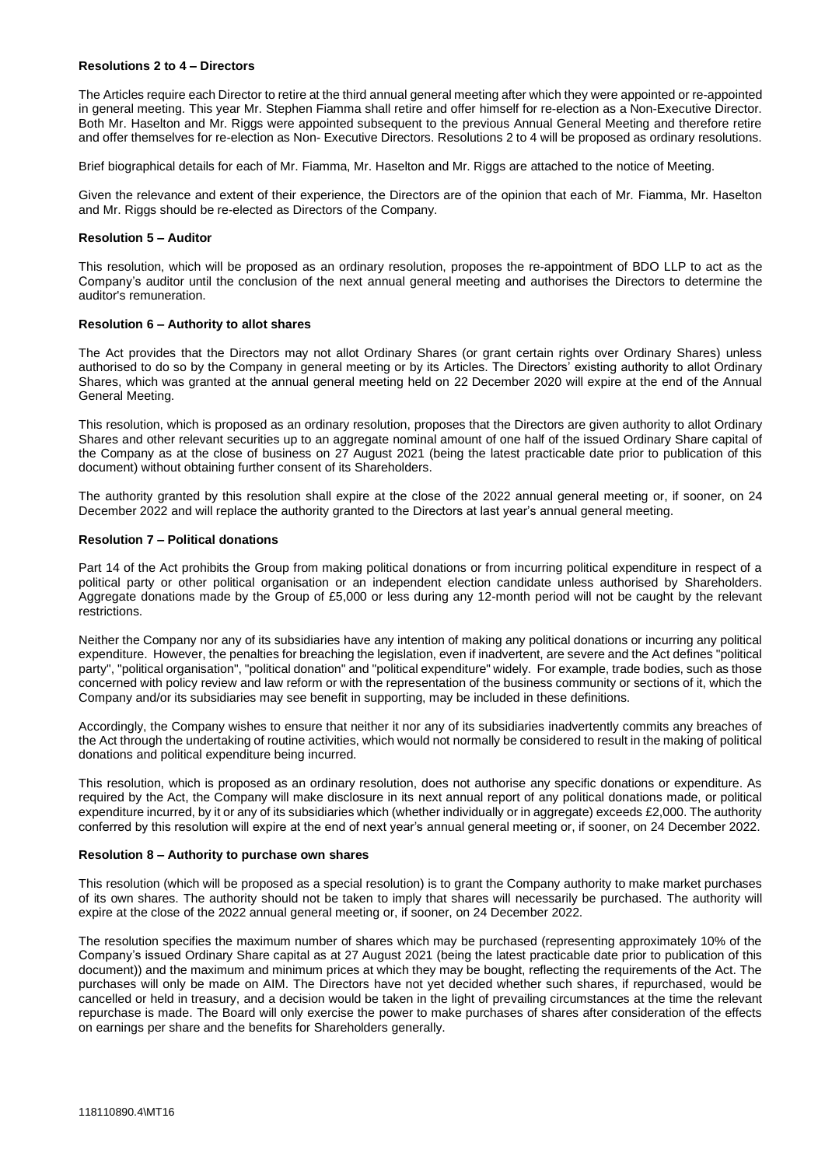#### **Resolutions 2 to 4 – Directors**

The Articles require each Director to retire at the third annual general meeting after which they were appointed or re-appointed in general meeting. This year Mr. Stephen Fiamma shall retire and offer himself for re-election as a Non-Executive Director. Both Mr. Haselton and Mr. Riggs were appointed subsequent to the previous Annual General Meeting and therefore retire and offer themselves for re-election as Non- Executive Directors. Resolutions 2 to 4 will be proposed as ordinary resolutions.

Brief biographical details for each of Mr. Fiamma, Mr. Haselton and Mr. Riggs are attached to the notice of Meeting.

Given the relevance and extent of their experience, the Directors are of the opinion that each of Mr. Fiamma, Mr. Haselton and Mr. Riggs should be re-elected as Directors of the Company.

#### **Resolution 5 – Auditor**

This resolution, which will be proposed as an ordinary resolution, proposes the re-appointment of BDO LLP to act as the Company's auditor until the conclusion of the next annual general meeting and authorises the Directors to determine the auditor's remuneration.

#### **Resolution 6 – Authority to allot shares**

The Act provides that the Directors may not allot Ordinary Shares (or grant certain rights over Ordinary Shares) unless authorised to do so by the Company in general meeting or by its Articles. The Directors' existing authority to allot Ordinary Shares, which was granted at the annual general meeting held on 22 December 2020 will expire at the end of the Annual General Meeting.

This resolution, which is proposed as an ordinary resolution, proposes that the Directors are given authority to allot Ordinary Shares and other relevant securities up to an aggregate nominal amount of one half of the issued Ordinary Share capital of the Company as at the close of business on 27 August 2021 (being the latest practicable date prior to publication of this document) without obtaining further consent of its Shareholders.

The authority granted by this resolution shall expire at the close of the 2022 annual general meeting or, if sooner, on 24 December 2022 and will replace the authority granted to the Directors at last year's annual general meeting.

#### **Resolution 7 – Political donations**

Part 14 of the Act prohibits the Group from making political donations or from incurring political expenditure in respect of a political party or other political organisation or an independent election candidate unless authorised by Shareholders. Aggregate donations made by the Group of £5,000 or less during any 12-month period will not be caught by the relevant restrictions.

Neither the Company nor any of its subsidiaries have any intention of making any political donations or incurring any political expenditure. However, the penalties for breaching the legislation, even if inadvertent, are severe and the Act defines "political party", "political organisation", "political donation" and "political expenditure" widely. For example, trade bodies, such as those concerned with policy review and law reform or with the representation of the business community or sections of it, which the Company and/or its subsidiaries may see benefit in supporting, may be included in these definitions.

Accordingly, the Company wishes to ensure that neither it nor any of its subsidiaries inadvertently commits any breaches of the Act through the undertaking of routine activities, which would not normally be considered to result in the making of political donations and political expenditure being incurred.

This resolution, which is proposed as an ordinary resolution, does not authorise any specific donations or expenditure. As required by the Act, the Company will make disclosure in its next annual report of any political donations made, or political expenditure incurred, by it or any of its subsidiaries which (whether individually or in aggregate) exceeds £2,000. The authority conferred by this resolution will expire at the end of next year's annual general meeting or, if sooner, on 24 December 2022.

#### **Resolution 8 – Authority to purchase own shares**

This resolution (which will be proposed as a special resolution) is to grant the Company authority to make market purchases of its own shares. The authority should not be taken to imply that shares will necessarily be purchased. The authority will expire at the close of the 2022 annual general meeting or, if sooner, on 24 December 2022.

The resolution specifies the maximum number of shares which may be purchased (representing approximately 10% of the Company's issued Ordinary Share capital as at 27 August 2021 (being the latest practicable date prior to publication of this document)) and the maximum and minimum prices at which they may be bought, reflecting the requirements of the Act. The purchases will only be made on AIM. The Directors have not yet decided whether such shares, if repurchased, would be cancelled or held in treasury, and a decision would be taken in the light of prevailing circumstances at the time the relevant repurchase is made. The Board will only exercise the power to make purchases of shares after consideration of the effects on earnings per share and the benefits for Shareholders generally.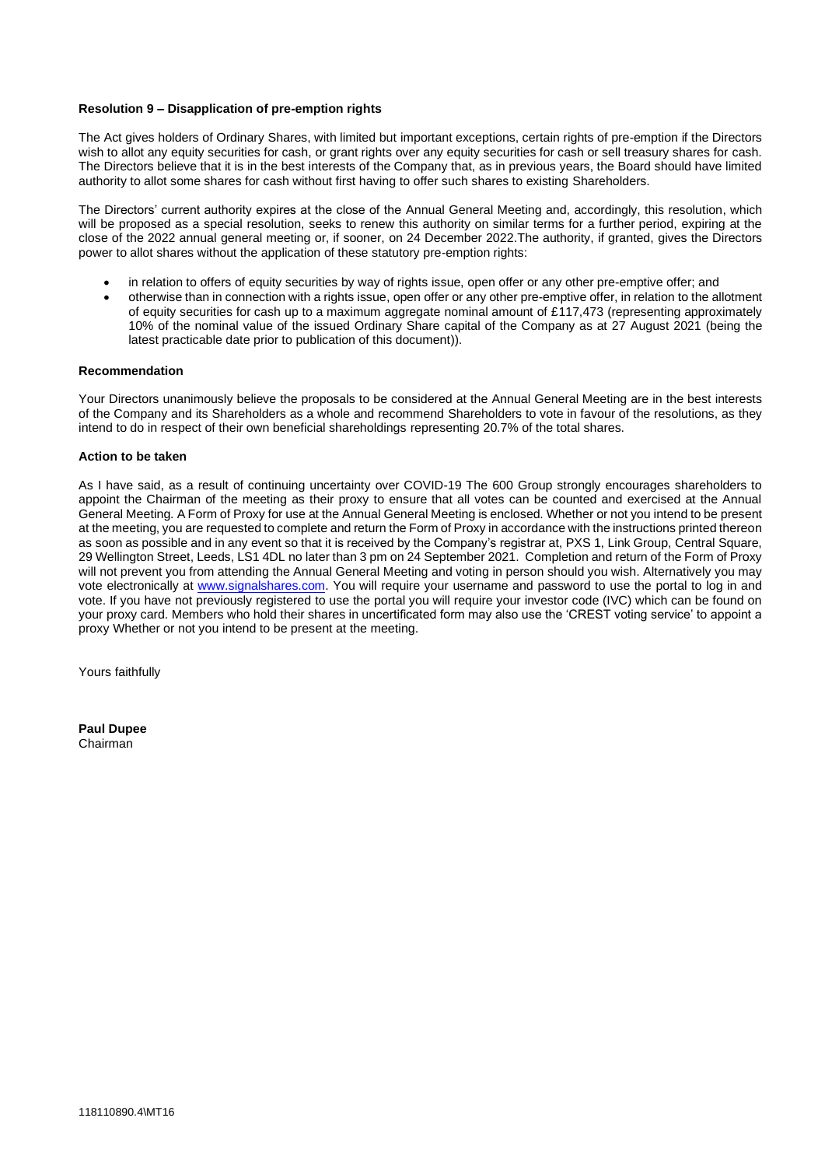#### **Resolution 9 – Disapplication of pre-emption rights**

The Act gives holders of Ordinary Shares, with limited but important exceptions, certain rights of pre-emption if the Directors wish to allot any equity securities for cash, or grant rights over any equity securities for cash or sell treasury shares for cash. The Directors believe that it is in the best interests of the Company that, as in previous years, the Board should have limited authority to allot some shares for cash without first having to offer such shares to existing Shareholders.

The Directors' current authority expires at the close of the Annual General Meeting and, accordingly, this resolution, which will be proposed as a special resolution, seeks to renew this authority on similar terms for a further period, expiring at the close of the 2022 annual general meeting or, if sooner, on 24 December 2022.The authority, if granted, gives the Directors power to allot shares without the application of these statutory pre-emption rights:

- in relation to offers of equity securities by way of rights issue, open offer or any other pre-emptive offer; and
- otherwise than in connection with a rights issue, open offer or any other pre-emptive offer, in relation to the allotment of equity securities for cash up to a maximum aggregate nominal amount of £117,473 (representing approximately 10% of the nominal value of the issued Ordinary Share capital of the Company as at 27 August 2021 (being the latest practicable date prior to publication of this document)).

#### **Recommendation**

Your Directors unanimously believe the proposals to be considered at the Annual General Meeting are in the best interests of the Company and its Shareholders as a whole and recommend Shareholders to vote in favour of the resolutions, as they intend to do in respect of their own beneficial shareholdings representing 20.7% of the total shares.

#### **Action to be taken**

As I have said, as a result of continuing uncertainty over COVID-19 The 600 Group strongly encourages shareholders to appoint the Chairman of the meeting as their proxy to ensure that all votes can be counted and exercised at the Annual General Meeting. A Form of Proxy for use at the Annual General Meeting is enclosed. Whether or not you intend to be present at the meeting, you are requested to complete and return the Form of Proxy in accordance with the instructions printed thereon as soon as possible and in any event so that it is received by the Company's registrar at, PXS 1, Link Group, Central Square, 29 Wellington Street, Leeds, LS1 4DL no later than 3 pm on 24 September 2021. Completion and return of the Form of Proxy will not prevent you from attending the Annual General Meeting and voting in person should you wish. Alternatively you may vote electronically at [www.signalshares.com.](http://www.signalshares.com/) You will require your username and password to use the portal to log in and vote. If you have not previously registered to use the portal you will require your investor code (IVC) which can be found on your proxy card. Members who hold their shares in uncertificated form may also use the 'CREST voting service' to appoint a proxy Whether or not you intend to be present at the meeting.

Yours faithfully

**Paul Dupee** Chairman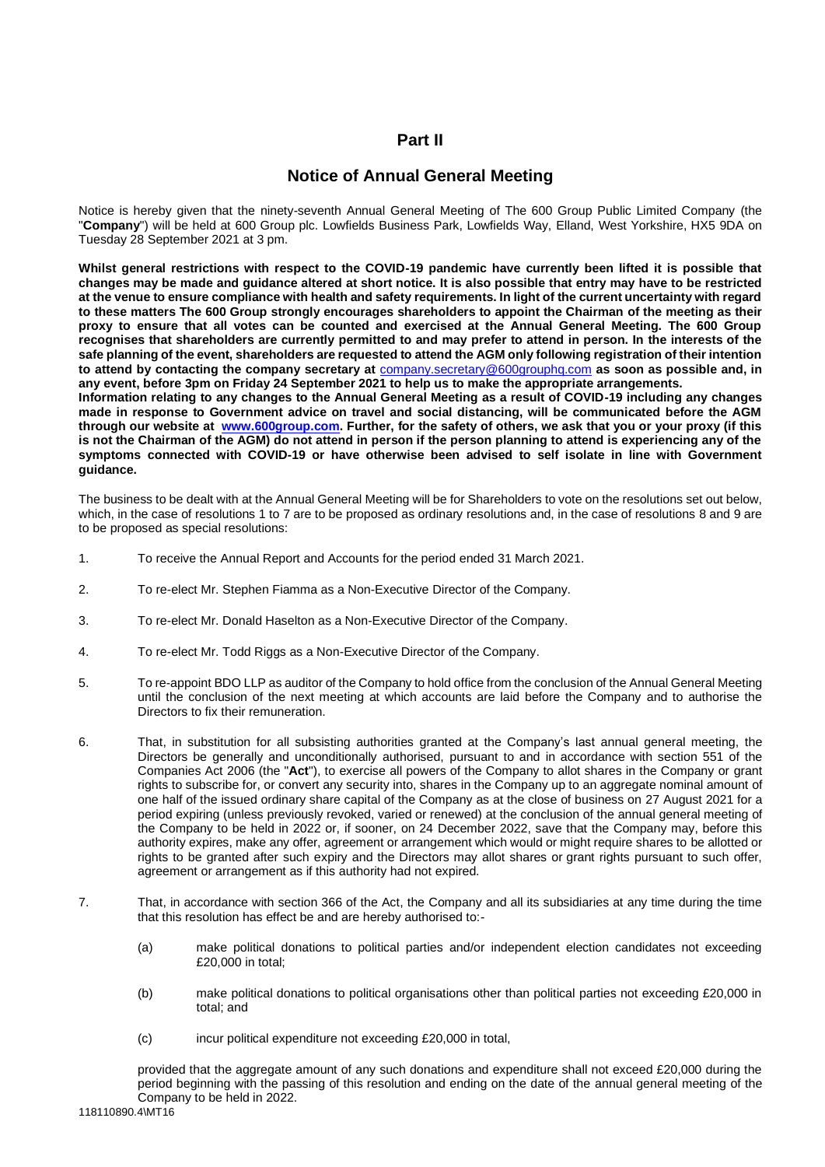## **Part II**

## **Notice of Annual General Meeting**

Notice is hereby given that the ninety-seventh Annual General Meeting of The 600 Group Public Limited Company (the "**Company**") will be held at 600 Group plc. Lowfields Business Park, Lowfields Way, Elland, West Yorkshire, HX5 9DA on Tuesday 28 September 2021 at 3 pm.

**Whilst general restrictions with respect to the COVID-19 pandemic have currently been lifted it is possible that changes may be made and guidance altered at short notice. It is also possible that entry may have to be restricted at the venue to ensure compliance with health and safety requirements. In light of the current uncertainty with regard to these matters The 600 Group strongly encourages shareholders to appoint the Chairman of the meeting as their proxy to ensure that all votes can be counted and exercised at the Annual General Meeting. The 600 Group recognises that shareholders are currently permitted to and may prefer to attend in person. In the interests of the safe planning of the event, shareholders are requested to attend the AGM only following registration of their intention to attend by contacting the company secretary at** company.secretary@600grouphq.com **as soon as possible and, in any event, before 3pm on Friday 24 September 2021 to help us to make the appropriate arrangements. Information relating to any changes to the Annual General Meeting as a result of COVID-19 including any changes made in response to Government advice on travel and social distancing, will be communicated before the AGM through our website at [www.600group.com.](http://www.600group.com/) Further, for the safety of others, we ask that you or your proxy (if this** 

**is not the Chairman of the AGM) do not attend in person if the person planning to attend is experiencing any of the symptoms connected with COVID-19 or have otherwise been advised to self isolate in line with Government guidance.**

The business to be dealt with at the Annual General Meeting will be for Shareholders to vote on the resolutions set out below, which, in the case of resolutions 1 to 7 are to be proposed as ordinary resolutions and, in the case of resolutions 8 and 9 are to be proposed as special resolutions:

- 1. To receive the Annual Report and Accounts for the period ended 31 March 2021.
- 2. To re-elect Mr. Stephen Fiamma as a Non-Executive Director of the Company.
- 3. To re-elect Mr. Donald Haselton as a Non-Executive Director of the Company.
- 4. To re-elect Mr. Todd Riggs as a Non-Executive Director of the Company.
- 5. To re-appoint BDO LLP as auditor of the Company to hold office from the conclusion of the Annual General Meeting until the conclusion of the next meeting at which accounts are laid before the Company and to authorise the Directors to fix their remuneration.
- 6. That, in substitution for all subsisting authorities granted at the Company's last annual general meeting, the Directors be generally and unconditionally authorised, pursuant to and in accordance with section 551 of the Companies Act 2006 (the "**Act**"), to exercise all powers of the Company to allot shares in the Company or grant rights to subscribe for, or convert any security into, shares in the Company up to an aggregate nominal amount of one half of the issued ordinary share capital of the Company as at the close of business on 27 August 2021 for a period expiring (unless previously revoked, varied or renewed) at the conclusion of the annual general meeting of the Company to be held in 2022 or, if sooner, on 24 December 2022, save that the Company may, before this authority expires, make any offer, agreement or arrangement which would or might require shares to be allotted or rights to be granted after such expiry and the Directors may allot shares or grant rights pursuant to such offer, agreement or arrangement as if this authority had not expired.
- 7. That, in accordance with section 366 of the Act, the Company and all its subsidiaries at any time during the time that this resolution has effect be and are hereby authorised to:-
	- (a) make political donations to political parties and/or independent election candidates not exceeding £20,000 in total;
	- (b) make political donations to political organisations other than political parties not exceeding £20,000 in total; and
	- (c) incur political expenditure not exceeding £20,000 in total,

provided that the aggregate amount of any such donations and expenditure shall not exceed £20,000 during the period beginning with the passing of this resolution and ending on the date of the annual general meeting of the Company to be held in 2022.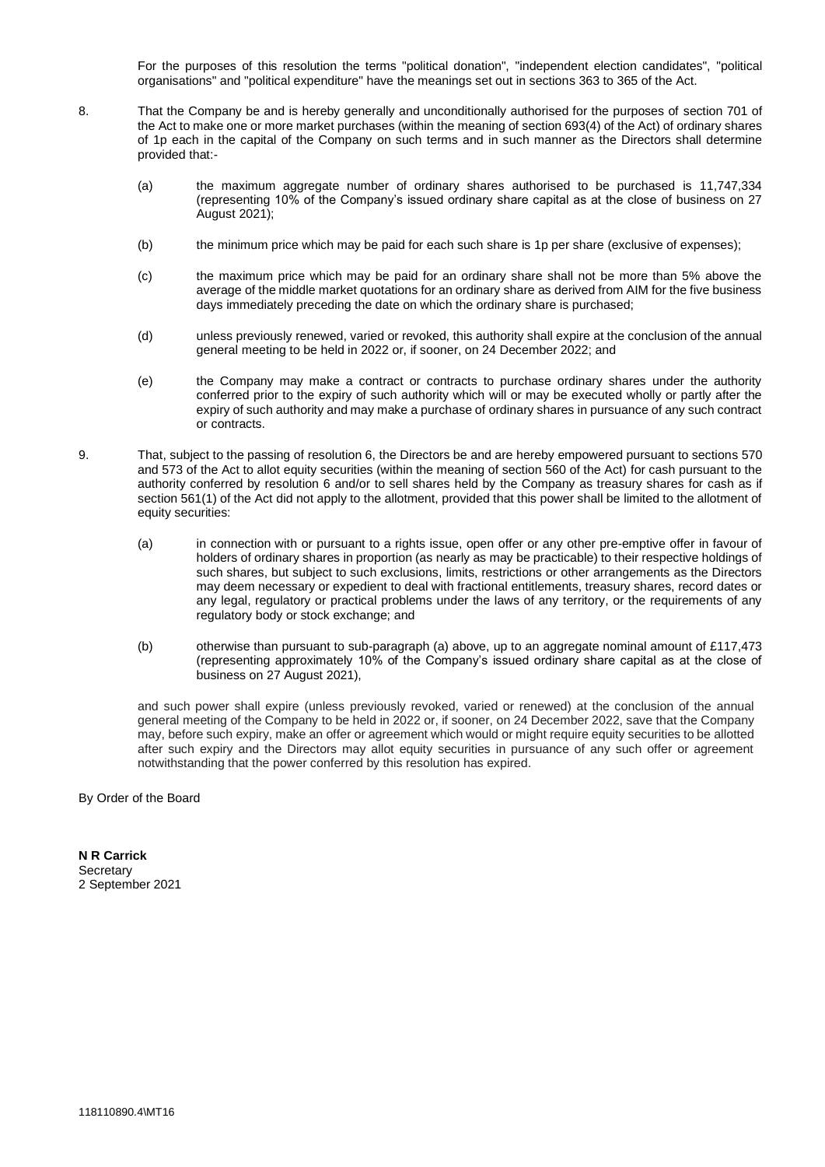For the purposes of this resolution the terms "political donation", "independent election candidates", "political organisations" and "political expenditure" have the meanings set out in sections 363 to 365 of the Act.

- 8. That the Company be and is hereby generally and unconditionally authorised for the purposes of section 701 of the Act to make one or more market purchases (within the meaning of section 693(4) of the Act) of ordinary shares of 1p each in the capital of the Company on such terms and in such manner as the Directors shall determine provided that:-
	- (a) the maximum aggregate number of ordinary shares authorised to be purchased is 11,747,334 (representing 10% of the Company's issued ordinary share capital as at the close of business on 27 August 2021);
	- (b) the minimum price which may be paid for each such share is 1p per share (exclusive of expenses);
	- (c) the maximum price which may be paid for an ordinary share shall not be more than 5% above the average of the middle market quotations for an ordinary share as derived from AIM for the five business days immediately preceding the date on which the ordinary share is purchased;
	- (d) unless previously renewed, varied or revoked, this authority shall expire at the conclusion of the annual general meeting to be held in 2022 or, if sooner, on 24 December 2022; and
	- (e) the Company may make a contract or contracts to purchase ordinary shares under the authority conferred prior to the expiry of such authority which will or may be executed wholly or partly after the expiry of such authority and may make a purchase of ordinary shares in pursuance of any such contract or contracts.
- 9. That, subject to the passing of resolution 6, the Directors be and are hereby empowered pursuant to sections 570 and 573 of the Act to allot equity securities (within the meaning of section 560 of the Act) for cash pursuant to the authority conferred by resolution 6 and/or to sell shares held by the Company as treasury shares for cash as if section 561(1) of the Act did not apply to the allotment, provided that this power shall be limited to the allotment of equity securities:
	- (a) in connection with or pursuant to a rights issue, open offer or any other pre-emptive offer in favour of holders of ordinary shares in proportion (as nearly as may be practicable) to their respective holdings of such shares, but subject to such exclusions, limits, restrictions or other arrangements as the Directors may deem necessary or expedient to deal with fractional entitlements, treasury shares, record dates or any legal, regulatory or practical problems under the laws of any territory, or the requirements of any regulatory body or stock exchange; and
	- (b) otherwise than pursuant to sub-paragraph (a) above, up to an aggregate nominal amount of £117,473 (representing approximately 10% of the Company's issued ordinary share capital as at the close of business on 27 August 2021),

and such power shall expire (unless previously revoked, varied or renewed) at the conclusion of the annual general meeting of the Company to be held in 2022 or, if sooner, on 24 December 2022, save that the Company may, before such expiry, make an offer or agreement which would or might require equity securities to be allotted after such expiry and the Directors may allot equity securities in pursuance of any such offer or agreement notwithstanding that the power conferred by this resolution has expired.

By Order of the Board

**N R Carrick Secretary** 2 September 2021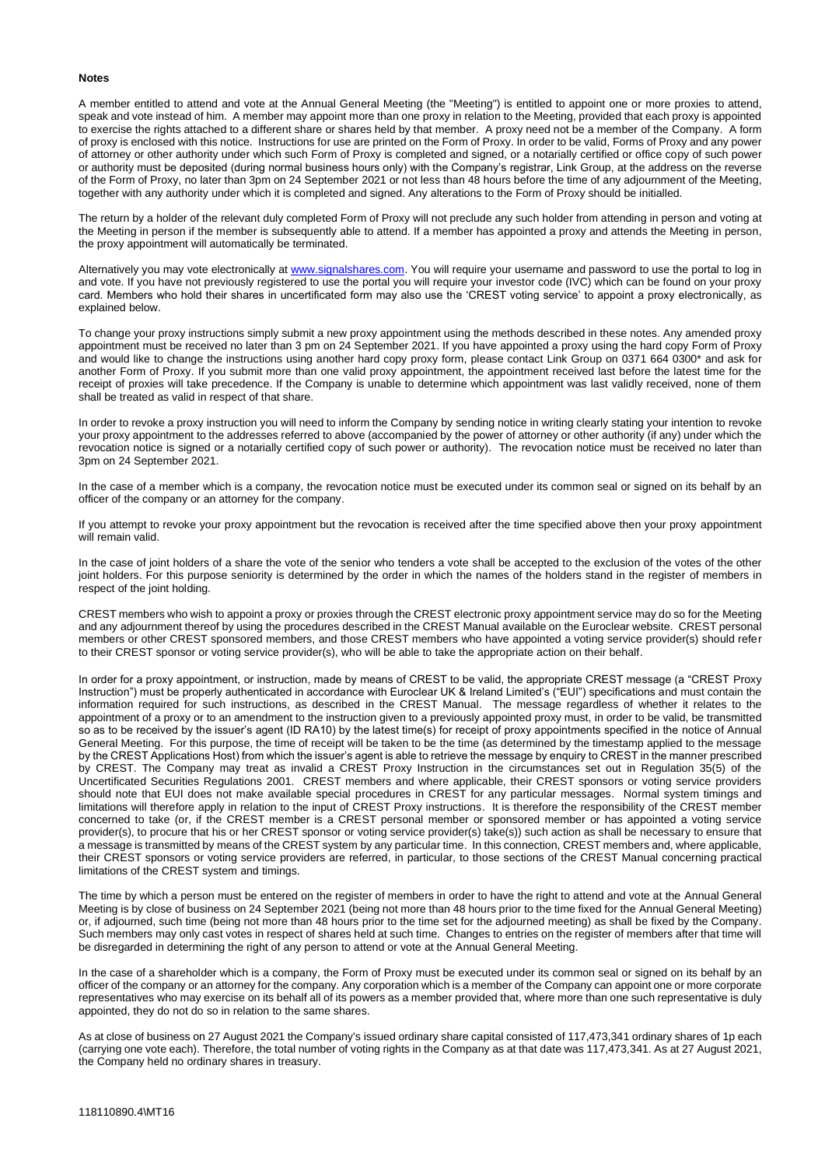#### **Notes**

A member entitled to attend and vote at the Annual General Meeting (the "Meeting") is entitled to appoint one or more proxies to attend, speak and vote instead of him. A member may appoint more than one proxy in relation to the Meeting, provided that each proxy is appointed to exercise the rights attached to a different share or shares held by that member. A proxy need not be a member of the Company. A form of proxy is enclosed with this notice. Instructions for use are printed on the Form of Proxy. In order to be valid, Forms of Proxy and any power of attorney or other authority under which such Form of Proxy is completed and signed, or a notarially certified or office copy of such power or authority must be deposited (during normal business hours only) with the Company's registrar, Link Group, at the address on the reverse of the Form of Proxy, no later than 3pm on 24 September 2021 or not less than 48 hours before the time of any adjournment of the Meeting, together with any authority under which it is completed and signed. Any alterations to the Form of Proxy should be initialled.

The return by a holder of the relevant duly completed Form of Proxy will not preclude any such holder from attending in person and voting at the Meeting in person if the member is subsequently able to attend. If a member has appointed a proxy and attends the Meeting in person, the proxy appointment will automatically be terminated.

Alternatively you may vote electronically at [www.signalshares.com.](http://www.signalshares.com/) You will require your username and password to use the portal to log in and vote. If you have not previously registered to use the portal you will require your investor code (IVC) which can be found on your proxy card. Members who hold their shares in uncertificated form may also use the 'CREST voting service' to appoint a proxy electronically, as explained below.

To change your proxy instructions simply submit a new proxy appointment using the methods described in these notes. Any amended proxy appointment must be received no later than 3 pm on 24 September 2021. If you have appointed a proxy using the hard copy Form of Proxy and would like to change the instructions using another hard copy proxy form, please contact Link Group on 0371 664 0300\* and ask for another Form of Proxy. If you submit more than one valid proxy appointment, the appointment received last before the latest time for the receipt of proxies will take precedence. If the Company is unable to determine which appointment was last validly received, none of them shall be treated as valid in respect of that share.

In order to revoke a proxy instruction you will need to inform the Company by sending notice in writing clearly stating your intention to revoke your proxy appointment to the addresses referred to above (accompanied by the power of attorney or other authority (if any) under which the revocation notice is signed or a notarially certified copy of such power or authority). The revocation notice must be received no later than 3pm on 24 September 2021.

In the case of a member which is a company, the revocation notice must be executed under its common seal or signed on its behalf by an officer of the company or an attorney for the company.

If you attempt to revoke your proxy appointment but the revocation is received after the time specified above then your proxy appointment will remain valid.

In the case of joint holders of a share the vote of the senior who tenders a vote shall be accepted to the exclusion of the votes of the other joint holders. For this purpose seniority is determined by the order in which the names of the holders stand in the register of members in respect of the joint holding.

CREST members who wish to appoint a proxy or proxies through the CREST electronic proxy appointment service may do so for the Meeting and any adjournment thereof by using the procedures described in the CREST Manual available on the Euroclear website. CREST personal members or other CREST sponsored members, and those CREST members who have appointed a voting service provider(s) should refer to their CREST sponsor or voting service provider(s), who will be able to take the appropriate action on their behalf.

In order for a proxy appointment, or instruction, made by means of CREST to be valid, the appropriate CREST message (a "CREST Proxy Instruction") must be properly authenticated in accordance with Euroclear UK & Ireland Limited's ("EUI") specifications and must contain the information required for such instructions, as described in the CREST Manual. The message regardless of whether it relates to the appointment of a proxy or to an amendment to the instruction given to a previously appointed proxy must, in order to be valid, be transmitted so as to be received by the issuer's agent (ID RA10) by the latest time(s) for receipt of proxy appointments specified in the notice of Annual General Meeting. For this purpose, the time of receipt will be taken to be the time (as determined by the timestamp applied to the message by the CREST Applications Host) from which the issuer's agent is able to retrieve the message by enquiry to CREST in the manner prescribed by CREST. The Company may treat as invalid a CREST Proxy Instruction in the circumstances set out in Regulation 35(5) of the Uncertificated Securities Regulations 2001. CREST members and where applicable, their CREST sponsors or voting service providers should note that EUI does not make available special procedures in CREST for any particular messages. Normal system timings and limitations will therefore apply in relation to the input of CREST Proxy instructions. It is therefore the responsibility of the CREST member concerned to take (or, if the CREST member is a CREST personal member or sponsored member or has appointed a voting service provider(s), to procure that his or her CREST sponsor or voting service provider(s) take(s)) such action as shall be necessary to ensure that a message is transmitted by means of the CREST system by any particular time. In this connection, CREST members and, where applicable, their CREST sponsors or voting service providers are referred, in particular, to those sections of the CREST Manual concerning practical limitations of the CREST system and timings.

The time by which a person must be entered on the register of members in order to have the right to attend and vote at the Annual General Meeting is by close of business on 24 September 2021 (being not more than 48 hours prior to the time fixed for the Annual General Meeting) or, if adjourned, such time (being not more than 48 hours prior to the time set for the adjourned meeting) as shall be fixed by the Company. Such members may only cast votes in respect of shares held at such time. Changes to entries on the register of members after that time will be disregarded in determining the right of any person to attend or vote at the Annual General Meeting.

In the case of a shareholder which is a company, the Form of Proxy must be executed under its common seal or signed on its behalf by an officer of the company or an attorney for the company. Any corporation which is a member of the Company can appoint one or more corporate representatives who may exercise on its behalf all of its powers as a member provided that, where more than one such representative is duly appointed, they do not do so in relation to the same shares.

As at close of business on 27 August 2021 the Company's issued ordinary share capital consisted of 117,473,341 ordinary shares of 1p each (carrying one vote each). Therefore, the total number of voting rights in the Company as at that date was 117,473,341. As at 27 August 2021, the Company held no ordinary shares in treasury.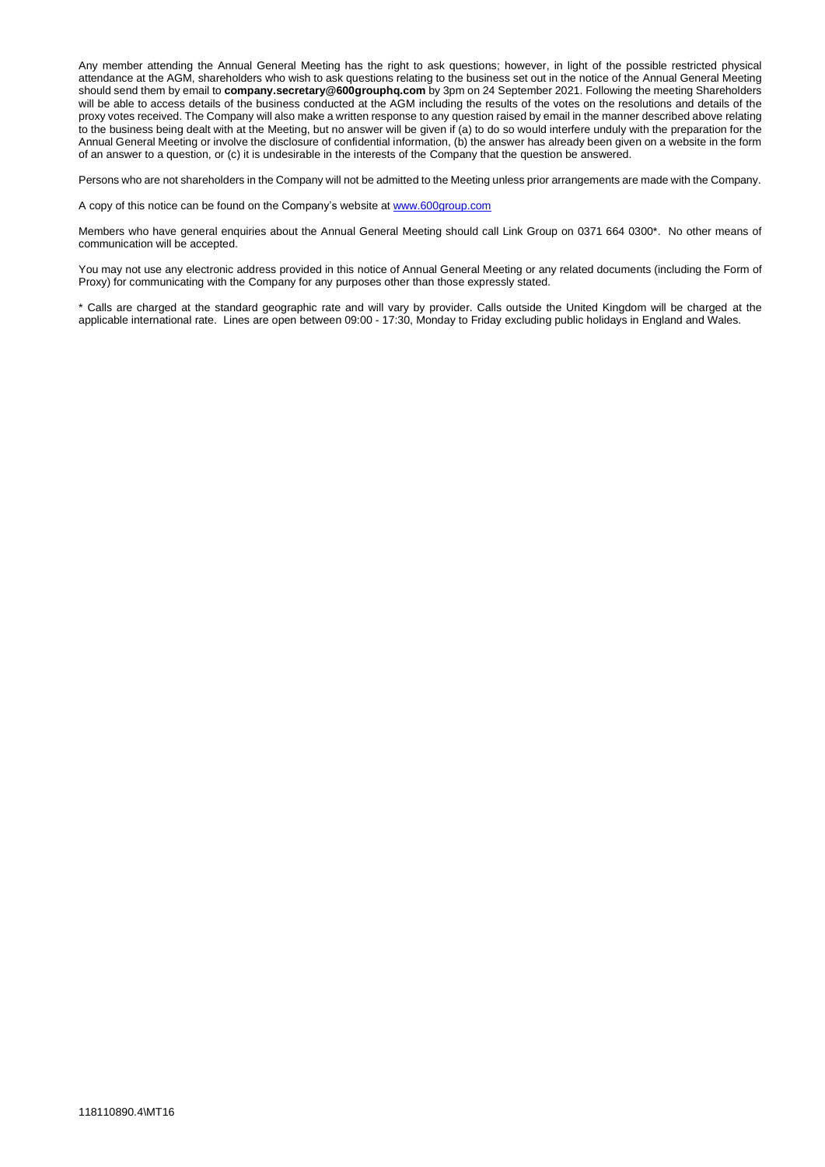Any member attending the Annual General Meeting has the right to ask questions; however, in light of the possible restricted physical attendance at the AGM, shareholders who wish to ask questions relating to the business set out in the notice of the Annual General Meeting should send them by email to **company.secretary@600grouphq.com** by 3pm on 24 September 2021. Following the meeting Shareholders will be able to access details of the business conducted at the AGM including the results of the votes on the resolutions and details of the proxy votes received. The Company will also make a written response to any question raised by email in the manner described above relating to the business being dealt with at the Meeting, but no answer will be given if (a) to do so would interfere unduly with the preparation for the Annual General Meeting or involve the disclosure of confidential information, (b) the answer has already been given on a website in the form of an answer to a question, or (c) it is undesirable in the interests of the Company that the question be answered.

Persons who are not shareholders in the Company will not be admitted to the Meeting unless prior arrangements are made with the Company.

A copy of this notice can be found on the Company's website at [www.600group.com](http://www.600group.com/)

Members who have general enquiries about the Annual General Meeting should call Link Group on 0371 664 0300\*. No other means of communication will be accepted.

You may not use any electronic address provided in this notice of Annual General Meeting or any related documents (including the Form of Proxy) for communicating with the Company for any purposes other than those expressly stated.

\* Calls are charged at the standard geographic rate and will vary by provider. Calls outside the United Kingdom will be charged at the applicable international rate. Lines are open between 09:00 - 17:30, Monday to Friday excluding public holidays in England and Wales.